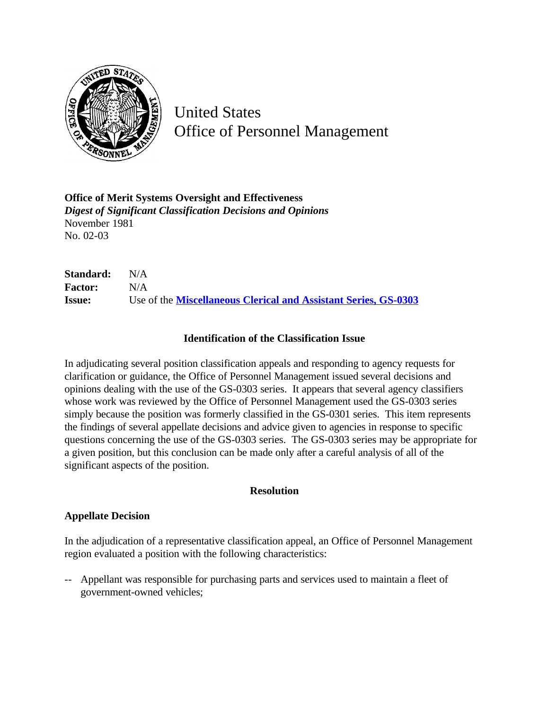

United States Office of Personnel Management

**Office of Merit Systems Oversight and Effectiveness** *Digest of Significant Classification Decisions and Opinions* November 1981 No. 02-03

**Standard:** N/A **Factor:** N/A **Issue:** Use of the **[Miscellaneous Clerical and Assistant Series, GS-0303](http://www.opm.gov/hr/fedclass/gs0303.pdf)**

## **Identification of the Classification Issue**

In adjudicating several position classification appeals and responding to agency requests for clarification or guidance, the Office of Personnel Management issued several decisions and opinions dealing with the use of the GS-0303 series. It appears that several agency classifiers whose work was reviewed by the Office of Personnel Management used the GS-0303 series simply because the position was formerly classified in the GS-0301 series. This item represents the findings of several appellate decisions and advice given to agencies in response to specific questions concerning the use of the GS-0303 series. The GS-0303 series may be appropriate for a given position, but this conclusion can be made only after a careful analysis of all of the significant aspects of the position.

#### **Resolution**

## **Appellate Decision**

In the adjudication of a representative classification appeal, an Office of Personnel Management region evaluated a position with the following characteristics:

-- Appellant was responsible for purchasing parts and services used to maintain a fleet of government-owned vehicles;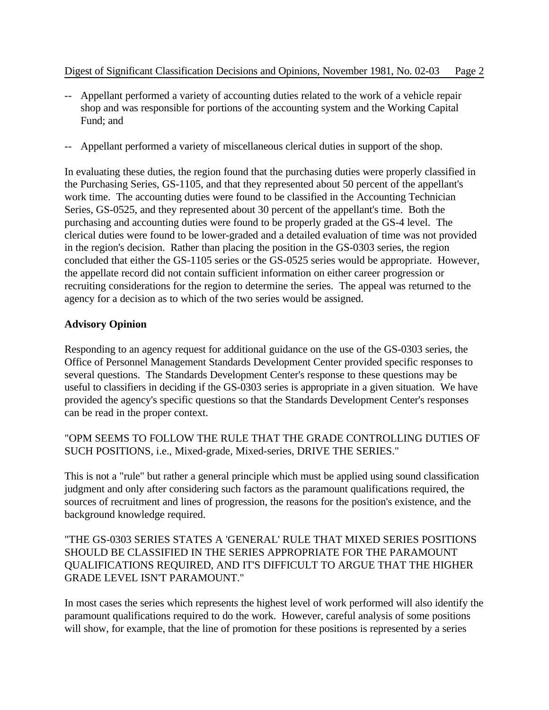- -- Appellant performed a variety of accounting duties related to the work of a vehicle repair shop and was responsible for portions of the accounting system and the Working Capital Fund; and
- -- Appellant performed a variety of miscellaneous clerical duties in support of the shop.

In evaluating these duties, the region found that the purchasing duties were properly classified in the Purchasing Series, GS-1105, and that they represented about 50 percent of the appellant's work time. The accounting duties were found to be classified in the Accounting Technician Series, GS-0525, and they represented about 30 percent of the appellant's time. Both the purchasing and accounting duties were found to be properly graded at the GS-4 level. The clerical duties were found to be lower-graded and a detailed evaluation of time was not provided in the region's decision. Rather than placing the position in the GS-0303 series, the region concluded that either the GS-1105 series or the GS-0525 series would be appropriate. However, the appellate record did not contain sufficient information on either career progression or recruiting considerations for the region to determine the series. The appeal was returned to the agency for a decision as to which of the two series would be assigned.

## **Advisory Opinion**

Responding to an agency request for additional guidance on the use of the GS-0303 series, the Office of Personnel Management Standards Development Center provided specific responses to several questions. The Standards Development Center's response to these questions may be useful to classifiers in deciding if the GS-0303 series is appropriate in a given situation. We have provided the agency's specific questions so that the Standards Development Center's responses can be read in the proper context.

"OPM SEEMS TO FOLLOW THE RULE THAT THE GRADE CONTROLLING DUTIES OF SUCH POSITIONS, i.e., Mixed-grade, Mixed-series, DRIVE THE SERIES."

This is not a "rule" but rather a general principle which must be applied using sound classification judgment and only after considering such factors as the paramount qualifications required, the sources of recruitment and lines of progression, the reasons for the position's existence, and the background knowledge required.

# "THE GS-0303 SERIES STATES A 'GENERAL' RULE THAT MIXED SERIES POSITIONS SHOULD BE CLASSIFIED IN THE SERIES APPROPRIATE FOR THE PARAMOUNT QUALIFICATIONS REQUIRED, AND IT'S DIFFICULT TO ARGUE THAT THE HIGHER GRADE LEVEL ISN'T PARAMOUNT."

In most cases the series which represents the highest level of work performed will also identify the paramount qualifications required to do the work. However, careful analysis of some positions will show, for example, that the line of promotion for these positions is represented by a series